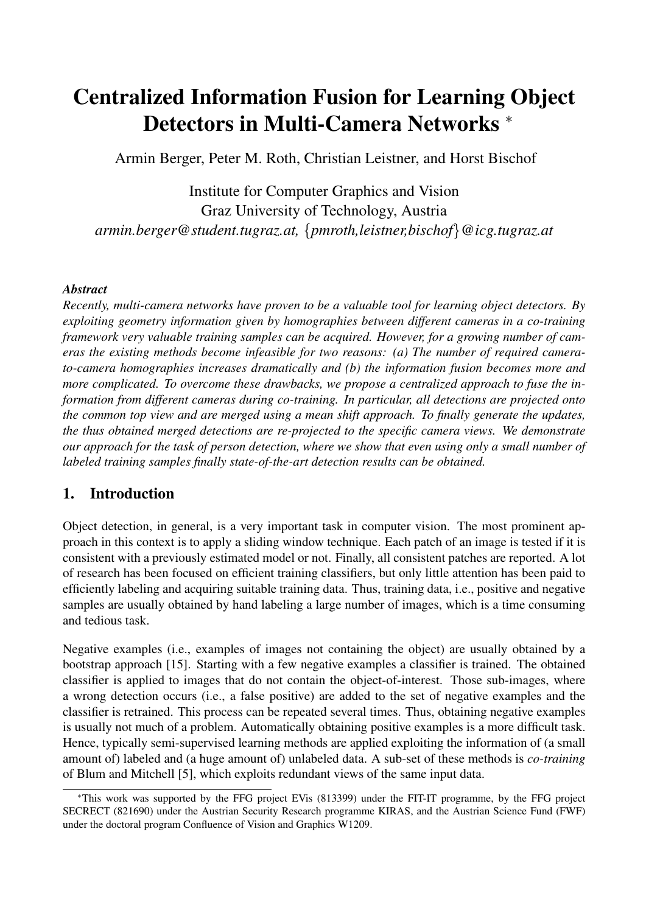# Centralized Information Fusion for Learning Object Detectors in Multi-Camera Networks <sup>∗</sup>

Armin Berger, Peter M. Roth, Christian Leistner, and Horst Bischof

Institute for Computer Graphics and Vision Graz University of Technology, Austria *armin.berger@student.tugraz.at,* {*pmroth,leistner,bischof*}*@icg.tugraz.at*

## *Abstract*

*Recently, multi-camera networks have proven to be a valuable tool for learning object detectors. By exploiting geometry information given by homographies between different cameras in a co-training framework very valuable training samples can be acquired. However, for a growing number of cameras the existing methods become infeasible for two reasons: (a) The number of required camerato-camera homographies increases dramatically and (b) the information fusion becomes more and more complicated. To overcome these drawbacks, we propose a centralized approach to fuse the information from different cameras during co-training. In particular, all detections are projected onto the common top view and are merged using a mean shift approach. To finally generate the updates, the thus obtained merged detections are re-projected to the specific camera views. We demonstrate our approach for the task of person detection, where we show that even using only a small number of labeled training samples finally state-of-the-art detection results can be obtained.*

# 1. Introduction

Object detection, in general, is a very important task in computer vision. The most prominent approach in this context is to apply a sliding window technique. Each patch of an image is tested if it is consistent with a previously estimated model or not. Finally, all consistent patches are reported. A lot of research has been focused on efficient training classifiers, but only little attention has been paid to efficiently labeling and acquiring suitable training data. Thus, training data, i.e., positive and negative samples are usually obtained by hand labeling a large number of images, which is a time consuming and tedious task.

Negative examples (i.e., examples of images not containing the object) are usually obtained by a bootstrap approach [15]. Starting with a few negative examples a classifier is trained. The obtained classifier is applied to images that do not contain the object-of-interest. Those sub-images, where a wrong detection occurs (i.e., a false positive) are added to the set of negative examples and the classifier is retrained. This process can be repeated several times. Thus, obtaining negative examples is usually not much of a problem. Automatically obtaining positive examples is a more difficult task. Hence, typically semi-supervised learning methods are applied exploiting the information of (a small amount of) labeled and (a huge amount of) unlabeled data. A sub-set of these methods is *co-training* of Blum and Mitchell [5], which exploits redundant views of the same input data.

<sup>∗</sup>This work was supported by the FFG project EVis (813399) under the FIT-IT programme, by the FFG project SECRECT (821690) under the Austrian Security Research programme KIRAS, and the Austrian Science Fund (FWF) under the doctoral program Confluence of Vision and Graphics W1209.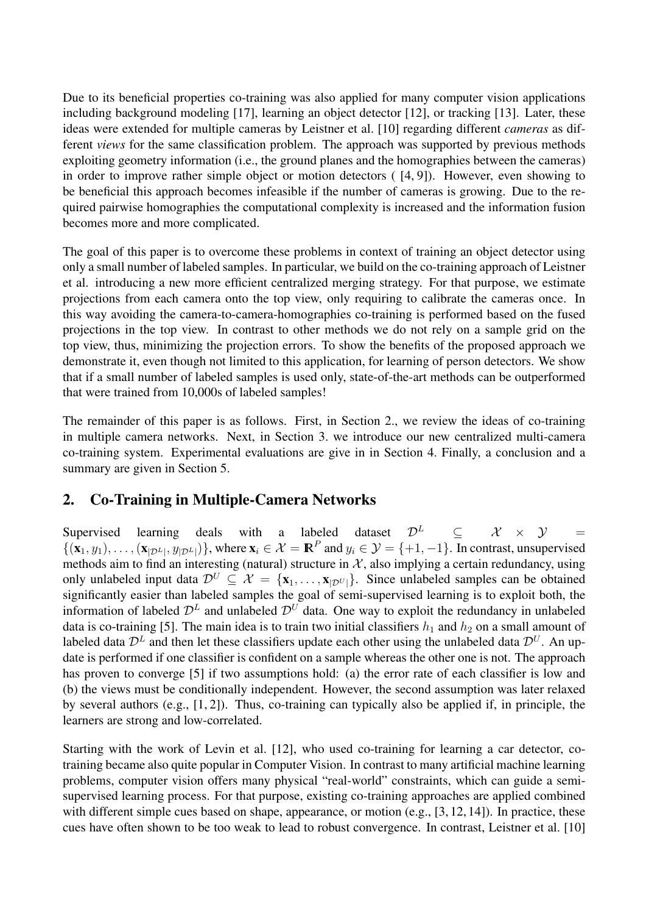Due to its beneficial properties co-training was also applied for many computer vision applications including background modeling [17], learning an object detector [12], or tracking [13]. Later, these ideas were extended for multiple cameras by Leistner et al. [10] regarding different *cameras* as different *views* for the same classification problem. The approach was supported by previous methods exploiting geometry information (i.e., the ground planes and the homographies between the cameras) in order to improve rather simple object or motion detectors ( [4, 9]). However, even showing to be beneficial this approach becomes infeasible if the number of cameras is growing. Due to the required pairwise homographies the computational complexity is increased and the information fusion becomes more and more complicated.

The goal of this paper is to overcome these problems in context of training an object detector using only a small number of labeled samples. In particular, we build on the co-training approach of Leistner et al. introducing a new more efficient centralized merging strategy. For that purpose, we estimate projections from each camera onto the top view, only requiring to calibrate the cameras once. In this way avoiding the camera-to-camera-homographies co-training is performed based on the fused projections in the top view. In contrast to other methods we do not rely on a sample grid on the top view, thus, minimizing the projection errors. To show the benefits of the proposed approach we demonstrate it, even though not limited to this application, for learning of person detectors. We show that if a small number of labeled samples is used only, state-of-the-art methods can be outperformed that were trained from 10,000s of labeled samples!

The remainder of this paper is as follows. First, in Section 2., we review the ideas of co-training in multiple camera networks. Next, in Section 3. we introduce our new centralized multi-camera co-training system. Experimental evaluations are give in in Section 4. Finally, a conclusion and a summary are given in Section 5.

# 2. Co-Training in Multiple-Camera Networks

Supervised learning deals with a labeled dataset  $\mathcal{D}^L$   $\subset$   $\mathcal{X} \times \mathcal{Y}$  $\{(\mathbf{x}_1, y_1), \ldots, (\mathbf{x}_{|\mathcal{D}^L|}, y_{|\mathcal{D}^L|})\}$ , where  $\mathbf{x}_i \in \mathcal{X} = \mathbb{R}^P$  and  $y_i \in \mathcal{Y} = \{+1, -1\}$ . In contrast, unsupervised methods aim to find an interesting (natural) structure in  $\mathcal{X}$ , also implying a certain redundancy, using only unlabeled input data  $\mathcal{D}^U \subset \mathcal{X} = \{x_1, \ldots, x_{|\mathcal{D}^U|}\}\$ . Since unlabeled samples can be obtained significantly easier than labeled samples the goal of semi-supervised learning is to exploit both, the information of labeled  $\mathcal{D}^{L}$  and unlabeled  $\mathcal{D}^{U}$  data. One way to exploit the redundancy in unlabeled data is co-training [5]. The main idea is to train two initial classifiers  $h_1$  and  $h_2$  on a small amount of labeled data  $\mathcal{D}^L$  and then let these classifiers update each other using the unlabeled data  $\mathcal{D}^U$ . An update is performed if one classifier is confident on a sample whereas the other one is not. The approach has proven to converge [5] if two assumptions hold: (a) the error rate of each classifier is low and (b) the views must be conditionally independent. However, the second assumption was later relaxed by several authors (e.g., [1, 2]). Thus, co-training can typically also be applied if, in principle, the learners are strong and low-correlated.

Starting with the work of Levin et al. [12], who used co-training for learning a car detector, cotraining became also quite popular in Computer Vision. In contrast to many artificial machine learning problems, computer vision offers many physical "real-world" constraints, which can guide a semisupervised learning process. For that purpose, existing co-training approaches are applied combined with different simple cues based on shape, appearance, or motion (e.g., [3, 12, 14]). In practice, these cues have often shown to be too weak to lead to robust convergence. In contrast, Leistner et al. [10]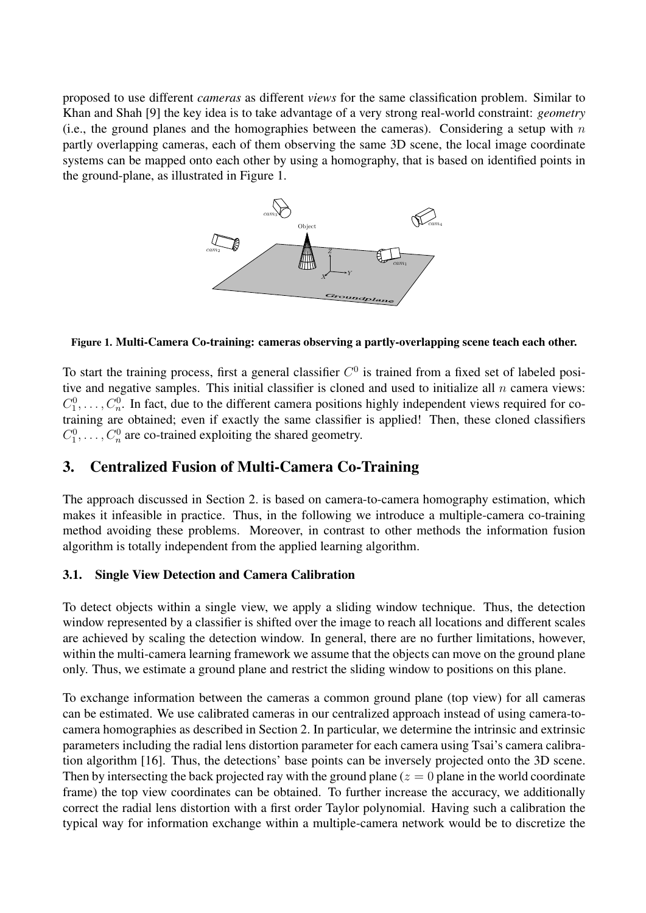proposed to use different *cameras* as different *views* for the same classification problem. Similar to Khan and Shah [9] the key idea is to take advantage of a very strong real-world constraint: *geometry* (i.e., the ground planes and the homographies between the cameras). Considering a setup with  $n$ partly overlapping cameras, each of them observing the same 3D scene, the local image coordinate systems can be mapped onto each other by using a homography, that is based on identified points in the ground-plane, as illustrated in Figure 1.



#### Figure 1. Multi-Camera Co-training: cameras observing a partly-overlapping scene teach each other.

To start the training process, first a general classifier  $C<sup>0</sup>$  is trained from a fixed set of labeled positive and negative samples. This initial classifier is cloned and used to initialize all  $n$  camera views:  $C_1^0, \ldots, C_n^0$ . In fact, due to the different camera positions highly independent views required for cotraining are obtained; even if exactly the same classifier is applied! Then, these cloned classifiers  $C_1^0, \ldots, C_n^0$  are co-trained exploiting the shared geometry.

## 3. Centralized Fusion of Multi-Camera Co-Training

The approach discussed in Section 2. is based on camera-to-camera homography estimation, which makes it infeasible in practice. Thus, in the following we introduce a multiple-camera co-training method avoiding these problems. Moreover, in contrast to other methods the information fusion algorithm is totally independent from the applied learning algorithm.

#### 3.1. Single View Detection and Camera Calibration

To detect objects within a single view, we apply a sliding window technique. Thus, the detection window represented by a classifier is shifted over the image to reach all locations and different scales are achieved by scaling the detection window. In general, there are no further limitations, however, within the multi-camera learning framework we assume that the objects can move on the ground plane only. Thus, we estimate a ground plane and restrict the sliding window to positions on this plane.

To exchange information between the cameras a common ground plane (top view) for all cameras can be estimated. We use calibrated cameras in our centralized approach instead of using camera-tocamera homographies as described in Section 2. In particular, we determine the intrinsic and extrinsic parameters including the radial lens distortion parameter for each camera using Tsai's camera calibration algorithm [16]. Thus, the detections' base points can be inversely projected onto the 3D scene. Then by intersecting the back projected ray with the ground plane ( $z = 0$  plane in the world coordinate frame) the top view coordinates can be obtained. To further increase the accuracy, we additionally correct the radial lens distortion with a first order Taylor polynomial. Having such a calibration the typical way for information exchange within a multiple-camera network would be to discretize the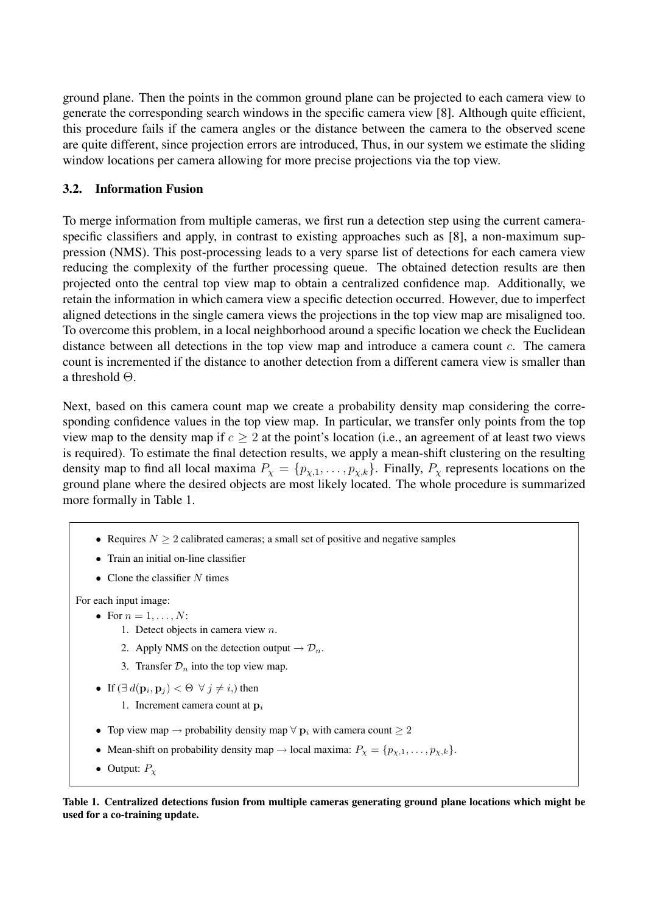ground plane. Then the points in the common ground plane can be projected to each camera view to generate the corresponding search windows in the specific camera view [8]. Although quite efficient, this procedure fails if the camera angles or the distance between the camera to the observed scene are quite different, since projection errors are introduced, Thus, in our system we estimate the sliding window locations per camera allowing for more precise projections via the top view.

#### 3.2. Information Fusion

To merge information from multiple cameras, we first run a detection step using the current cameraspecific classifiers and apply, in contrast to existing approaches such as [8], a non-maximum suppression (NMS). This post-processing leads to a very sparse list of detections for each camera view reducing the complexity of the further processing queue. The obtained detection results are then projected onto the central top view map to obtain a centralized confidence map. Additionally, we retain the information in which camera view a specific detection occurred. However, due to imperfect aligned detections in the single camera views the projections in the top view map are misaligned too. To overcome this problem, in a local neighborhood around a specific location we check the Euclidean distance between all detections in the top view map and introduce a camera count c. The camera count is incremented if the distance to another detection from a different camera view is smaller than a threshold Θ.

Next, based on this camera count map we create a probability density map considering the corresponding confidence values in the top view map. In particular, we transfer only points from the top view map to the density map if  $c \geq 2$  at the point's location (i.e., an agreement of at least two views is required). To estimate the final detection results, we apply a mean-shift clustering on the resulting density map to find all local maxima  $P_{\chi} = \{p_{\chi,1}, \ldots, p_{\chi,k}\}\$ . Finally,  $P_{\chi}$  represents locations on the ground plane where the desired objects are most likely located. The whole procedure is summarized more formally in Table 1.

- Requires  $N > 2$  calibrated cameras; a small set of positive and negative samples
- Train an initial on-line classifier
- Clone the classifier  $N$  times

For each input image:

- For  $n = 1, \ldots, N$ :
	- 1. Detect objects in camera view  $n$ .
	- 2. Apply NMS on the detection output  $\rightarrow \mathcal{D}_n$ .
	- 3. Transfer  $\mathcal{D}_n$  into the top view map.
- If  $(\exists d(\mathbf{p}_i, \mathbf{p}_j) < \Theta \ \forall j \neq i)$ , then
	- 1. Increment camera count at  $\mathbf{p}_i$
- Top view map  $\rightarrow$  probability density map  $\forall$   $p_i$  with camera count  $\geq 2$
- Mean-shift on probability density map  $\rightarrow$  local maxima:  $P_{\chi} = \{p_{\chi,1}, \dots, p_{\chi,k}\}.$
- Output:  $P_{\rm v}$

Table 1. Centralized detections fusion from multiple cameras generating ground plane locations which might be used for a co-training update.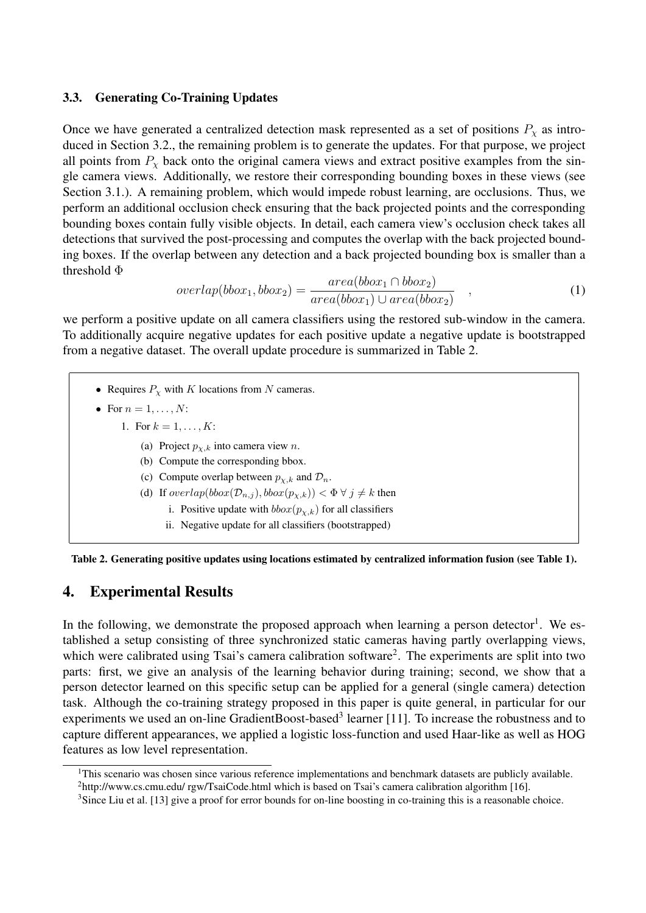#### 3.3. Generating Co-Training Updates

Once we have generated a centralized detection mask represented as a set of positions  $P<sub>x</sub>$  as introduced in Section 3.2., the remaining problem is to generate the updates. For that purpose, we project all points from  $P<sub>x</sub>$  back onto the original camera views and extract positive examples from the single camera views. Additionally, we restore their corresponding bounding boxes in these views (see Section 3.1.). A remaining problem, which would impede robust learning, are occlusions. Thus, we perform an additional occlusion check ensuring that the back projected points and the corresponding bounding boxes contain fully visible objects. In detail, each camera view's occlusion check takes all detections that survived the post-processing and computes the overlap with the back projected bounding boxes. If the overlap between any detection and a back projected bounding box is smaller than a threshold Φ

$$
overlap(bbox_1, bbox_2) = \frac{area(bbox_1 \cap bbox_2)}{area(bbox_1) \cup area(bbox_2)}, \qquad (1)
$$

we perform a positive update on all camera classifiers using the restored sub-window in the camera. To additionally acquire negative updates for each positive update a negative update is bootstrapped from a negative dataset. The overall update procedure is summarized in Table 2.

• Requires  $P<sub>x</sub>$  with K locations from N cameras. • For  $n = 1, \ldots, N$ : 1. For  $k = 1, ..., K$ : (a) Project  $p_{x,k}$  into camera view n. (b) Compute the corresponding bbox. (c) Compute overlap between  $p_{\chi,k}$  and  $\mathcal{D}_n$ . (d) If  $overlap(bbox(\mathcal{D}_{n,j}), bbox(p_{\chi,k})) < \Phi \ \forall \ j \neq k$  then i. Positive update with  $bbox(p_{\chi,k})$  for all classifiers ii. Negative update for all classifiers (bootstrapped)



## 4. Experimental Results

In the following, we demonstrate the proposed approach when learning a person detector<sup>1</sup>. We established a setup consisting of three synchronized static cameras having partly overlapping views, which were calibrated using Tsai's camera calibration software<sup>2</sup>. The experiments are split into two parts: first, we give an analysis of the learning behavior during training; second, we show that a person detector learned on this specific setup can be applied for a general (single camera) detection task. Although the co-training strategy proposed in this paper is quite general, in particular for our experiments we used an on-line GradientBoost-based<sup>3</sup> learner [11]. To increase the robustness and to capture different appearances, we applied a logistic loss-function and used Haar-like as well as HOG features as low level representation.

<sup>&</sup>lt;sup>1</sup>This scenario was chosen since various reference implementations and benchmark datasets are publicly available. <sup>2</sup>http://www.cs.cmu.edu/ rgw/TsaiCode.html which is based on Tsai's camera calibration algorithm [16].

<sup>&</sup>lt;sup>3</sup>Since Liu et al. [13] give a proof for error bounds for on-line boosting in co-training this is a reasonable choice.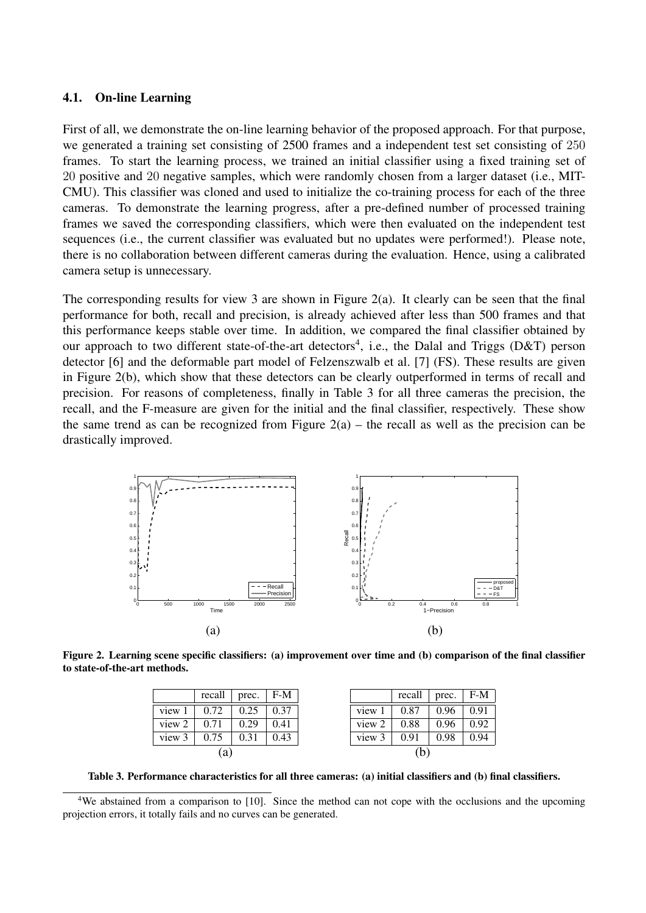#### 4.1. On-line Learning

First of all, we demonstrate the on-line learning behavior of the proposed approach. For that purpose, we generated a training set consisting of 2500 frames and a independent test set consisting of 250 frames. To start the learning process, we trained an initial classifier using a fixed training set of 20 positive and 20 negative samples, which were randomly chosen from a larger dataset (i.e., MIT-CMU). This classifier was cloned and used to initialize the co-training process for each of the three cameras. To demonstrate the learning progress, after a pre-defined number of processed training frames we saved the corresponding classifiers, which were then evaluated on the independent test sequences (i.e., the current classifier was evaluated but no updates were performed!). Please note, there is no collaboration between different cameras during the evaluation. Hence, using a calibrated camera setup is unnecessary.

The corresponding results for view 3 are shown in Figure 2(a). It clearly can be seen that the final performance for both, recall and precision, is already achieved after less than 500 frames and that this performance keeps stable over time. In addition, we compared the final classifier obtained by our approach to two different state-of-the-art detectors<sup>4</sup>, i.e., the Dalal and Triggs (D&T) person detector [6] and the deformable part model of Felzenszwalb et al. [7] (FS). These results are given in Figure 2(b), which show that these detectors can be clearly outperformed in terms of recall and precision. For reasons of completeness, finally in Table 3 for all three cameras the precision, the recall, and the F-measure are given for the initial and the final classifier, respectively. These show the same trend as can be recognized from Figure  $2(a)$  – the recall as well as the precision can be drastically improved.



Figure 2. Learning scene specific classifiers: (a) improvement over time and (b) comparison of the final classifier to state-of-the-art methods.

|        | recall | prec. | F-M  |
|--------|--------|-------|------|
| view   | 0.72   | 0.25  | 0.37 |
| view 2 | 0.71   | 0.29  | 0.41 |
| view 3 | 0.75   | 0.31  | 0.43 |
| a      |        |       |      |

Table 3. Performance characteristics for all three cameras: (a) initial classifiers and (b) final classifiers.

<sup>4</sup>We abstained from a comparison to [10]. Since the method can not cope with the occlusions and the upcoming projection errors, it totally fails and no curves can be generated.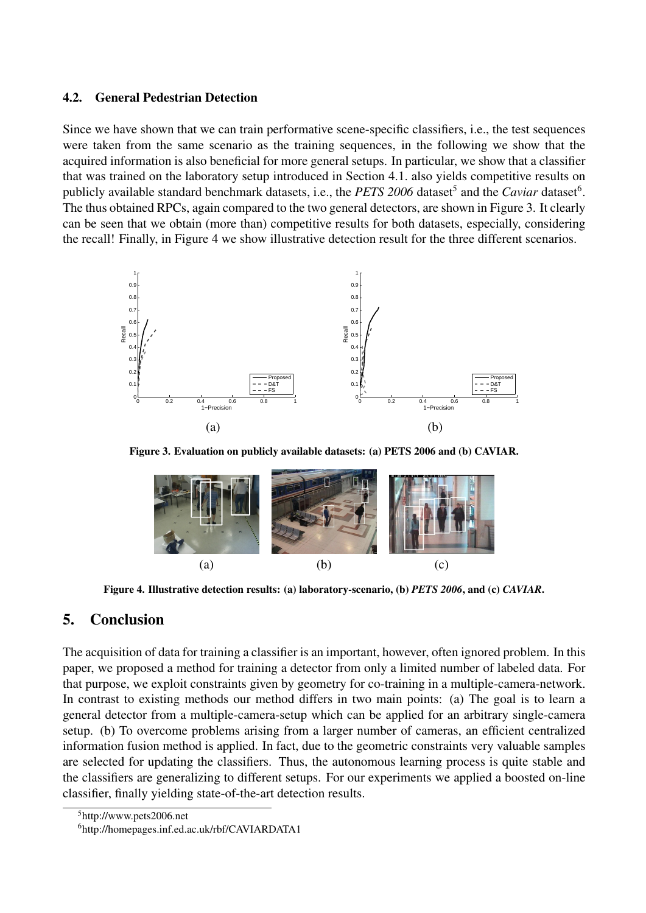#### 4.2. General Pedestrian Detection

Since we have shown that we can train performative scene-specific classifiers, i.e., the test sequences were taken from the same scenario as the training sequences, in the following we show that the acquired information is also beneficial for more general setups. In particular, we show that a classifier that was trained on the laboratory setup introduced in Section 4.1. also yields competitive results on publicly available standard benchmark datasets, i.e., the *PETS* 2006 dataset<sup>5</sup> and the *Caviar* dataset<sup>6</sup>. The thus obtained RPCs, again compared to the two general detectors, are shown in Figure 3. It clearly can be seen that we obtain (more than) competitive results for both datasets, especially, considering the recall! Finally, in Figure 4 we show illustrative detection result for the three different scenarios.



Figure 3. Evaluation on publicly available datasets: (a) PETS 2006 and (b) CAVIAR.



Figure 4. Illustrative detection results: (a) laboratory-scenario, (b) *PETS 2006*, and (c) *CAVIAR*.

## 5. Conclusion

The acquisition of data for training a classifier is an important, however, often ignored problem. In this paper, we proposed a method for training a detector from only a limited number of labeled data. For that purpose, we exploit constraints given by geometry for co-training in a multiple-camera-network. In contrast to existing methods our method differs in two main points: (a) The goal is to learn a general detector from a multiple-camera-setup which can be applied for an arbitrary single-camera setup. (b) To overcome problems arising from a larger number of cameras, an efficient centralized information fusion method is applied. In fact, due to the geometric constraints very valuable samples are selected for updating the classifiers. Thus, the autonomous learning process is quite stable and the classifiers are generalizing to different setups. For our experiments we applied a boosted on-line classifier, finally yielding state-of-the-art detection results.

<sup>5</sup>http://www.pets2006.net

<sup>6</sup>http://homepages.inf.ed.ac.uk/rbf/CAVIARDATA1